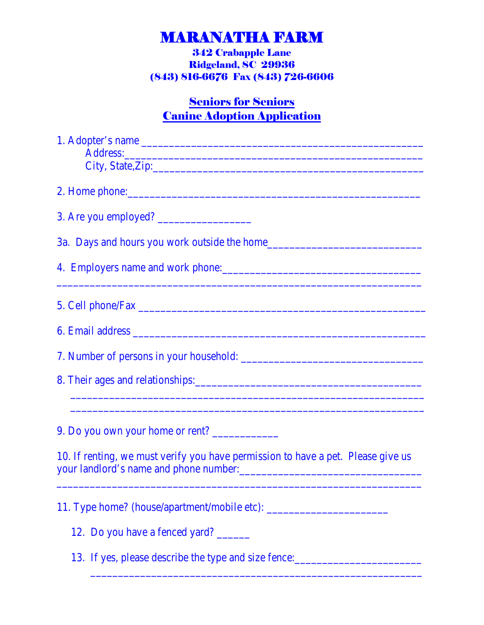# MARANATHA FARM 342 Crabapple Lane

Ridgeland, SC 29936 (843) 816-6676 Fax (843) 726-6606

### **Seniors for Seniors** Canine Adoption Application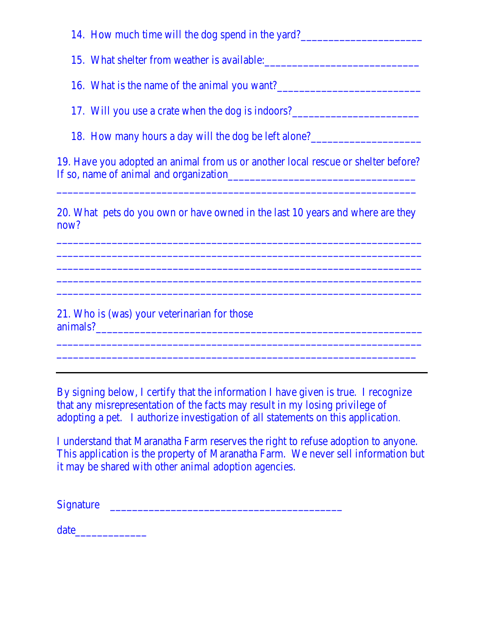14. How much time will the dog spend in the yard?

15. What shelter from weather is available:

16. What is the name of the animal you want?\_\_\_\_\_\_\_\_\_\_\_\_\_\_\_\_\_\_\_\_\_\_\_\_\_\_

17. Will you use a crate when the dog is indoors?\_\_\_\_\_\_\_\_\_\_\_\_\_\_\_\_\_\_\_\_\_\_\_\_\_\_\_\_\_\_\_

18. How many hours a day will the dog be left alone?\_\_\_\_\_\_\_\_\_\_\_\_\_\_\_\_\_\_\_\_\_\_\_\_\_\_\_\_\_

19. Have you adopted an animal from us or another local rescue or shelter before? If so, name of animal and organization\_\_\_\_\_\_\_\_\_\_\_\_\_\_\_\_\_\_\_\_\_\_\_\_\_\_\_\_\_\_\_\_\_\_

 $\overline{a_1}$  ,  $\overline{a_2}$  ,  $\overline{a_3}$  ,  $\overline{a_4}$  ,  $\overline{a_5}$  ,  $\overline{a_6}$  ,  $\overline{a_7}$  ,  $\overline{a_8}$  ,  $\overline{a_9}$  ,  $\overline{a_9}$  ,  $\overline{a_9}$  ,  $\overline{a_9}$  ,  $\overline{a_9}$  ,  $\overline{a_9}$  ,  $\overline{a_9}$  ,  $\overline{a_9}$  ,  $\overline{a_9}$  ,

20. What pets do you own or have owned in the last 10 years and where are they now?

 $\overline{a_1}$  , and the contribution of the contribution of the contribution of the contribution of the contribution of the contribution of the contribution of the contribution of the contribution of the contribution of the  $\overline{a_1}$  ,  $\overline{a_2}$  ,  $\overline{a_3}$  ,  $\overline{a_4}$  ,  $\overline{a_5}$  ,  $\overline{a_6}$  ,  $\overline{a_7}$  ,  $\overline{a_8}$  ,  $\overline{a_9}$  ,  $\overline{a_9}$  ,  $\overline{a_9}$  ,  $\overline{a_9}$  ,  $\overline{a_9}$  ,  $\overline{a_9}$  ,  $\overline{a_9}$  ,  $\overline{a_9}$  ,  $\overline{a_9}$  ,  $\overline{a_1}$  ,  $\overline{a_2}$  ,  $\overline{a_3}$  ,  $\overline{a_4}$  ,  $\overline{a_5}$  ,  $\overline{a_6}$  ,  $\overline{a_7}$  ,  $\overline{a_8}$  ,  $\overline{a_9}$  ,  $\overline{a_9}$  ,  $\overline{a_9}$  ,  $\overline{a_9}$  ,  $\overline{a_9}$  ,  $\overline{a_9}$  ,  $\overline{a_9}$  ,  $\overline{a_9}$  ,  $\overline{a_9}$  ,  $\overline{a_1}$  , and the contribution of the contribution of the contribution of the contribution of the contribution of the contribution of the contribution of the contribution of the contribution of the contribution of the  $\overline{a_1}$  , and the contribution of the contribution of the contribution of the contribution of the contribution of the contribution of the contribution of the contribution of the contribution of the contribution of the

21. Who is (was) your veterinarian for those animals?

By signing below, I certify that the information I have given is true. I recognize that any misrepresentation of the facts may result in my losing privilege of adopting a pet. I authorize investigation of all statements on this application.

 $\overline{a_1}$  ,  $\overline{a_2}$  ,  $\overline{a_3}$  ,  $\overline{a_4}$  ,  $\overline{a_5}$  ,  $\overline{a_6}$  ,  $\overline{a_7}$  ,  $\overline{a_8}$  ,  $\overline{a_9}$  ,  $\overline{a_9}$  ,  $\overline{a_9}$  ,  $\overline{a_9}$  ,  $\overline{a_9}$  ,  $\overline{a_9}$  ,  $\overline{a_9}$  ,  $\overline{a_9}$  ,  $\overline{a_9}$  ,  $\overline{a_1}$  , and the contribution of the contribution of the contribution of the contribution of the contribution of the contribution of the contribution of the contribution of the contribution of the contribution of the

I understand that Maranatha Farm reserves the right to refuse adoption to anyone. This application is the property of Maranatha Farm. We never sell information but it may be shared with other animal adoption agencies.

Signature  $\Box$ 

date and the set of  $\alpha$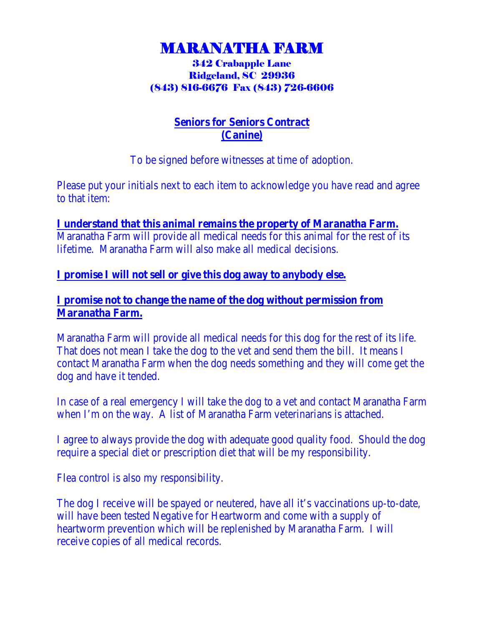# MARANATHA FARM 342 Crabapple Lane

## Ridgeland, SC 29936 (843) 816-6676 Fax (843) 726-6606

### **Seniors for Seniors Contract (Canine)**

To be signed before witnesses at time of adoption.

Please put your initials next to each item to acknowledge you have read and agree to that item:

**I understand that this animal remains the property of Maranatha Farm.**  Maranatha Farm will provide all medical needs for this animal for the rest of its lifetime. Maranatha Farm will also make all medical decisions.

### **I promise I will not sell or give this dog away to anybody else.**

#### **I promise not to change the name of the dog without permission from Maranatha Farm.**

Maranatha Farm will provide all medical needs for this dog for the rest of its life. That does not mean I take the dog to the vet and send them the bill. It means I contact Maranatha Farm when the dog needs something and they will come get the dog and have it tended.

In case of a real emergency I will take the dog to a vet and contact Maranatha Farm when I'm on the way. A list of Maranatha Farm veterinarians is attached.

I agree to always provide the dog with adequate good quality food. Should the dog require a special diet or prescription diet that will be my responsibility.

Flea control is also my responsibility.

The dog I receive will be spayed or neutered, have all it's vaccinations up-to-date, will have been tested Negative for Heartworm and come with a supply of heartworm prevention which will be replenished by Maranatha Farm. I will receive copies of all medical records.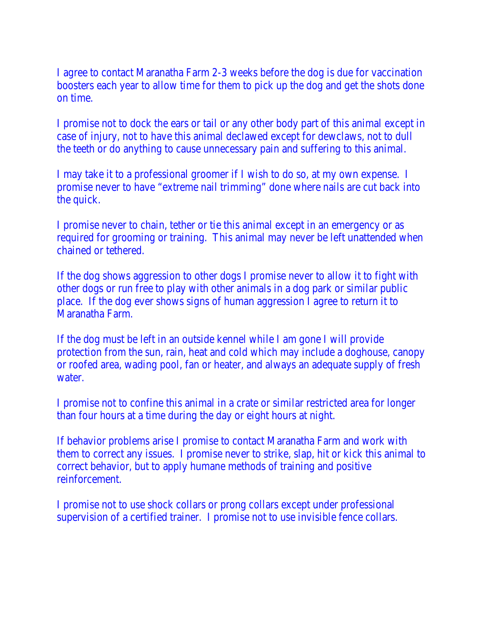I agree to contact Maranatha Farm 2-3 weeks before the dog is due for vaccination boosters each year to allow time for them to pick up the dog and get the shots done on time.

I promise not to dock the ears or tail or any other body part of this animal except in case of injury, not to have this animal declawed except for dewclaws, not to dull the teeth or do anything to cause unnecessary pain and suffering to this animal.

I may take it to a professional groomer if I wish to do so, at my own expense. I promise never to have "extreme nail trimming" done where nails are cut back into the quick.

I promise never to chain, tether or tie this animal except in an emergency or as required for grooming or training. This animal may never be left unattended when chained or tethered.

If the dog shows aggression to other dogs I promise never to allow it to fight with other dogs or run free to play with other animals in a dog park or similar public place. If the dog ever shows signs of human aggression I agree to return it to Maranatha Farm.

If the dog must be left in an outside kennel while I am gone I will provide protection from the sun, rain, heat and cold which may include a doghouse, canopy or roofed area, wading pool, fan or heater, and always an adequate supply of fresh water.

I promise not to confine this animal in a crate or similar restricted area for longer than four hours at a time during the day or eight hours at night.

If behavior problems arise I promise to contact Maranatha Farm and work with them to correct any issues. I promise never to strike, slap, hit or kick this animal to correct behavior, but to apply humane methods of training and positive reinforcement.

I promise not to use shock collars or prong collars except under professional supervision of a certified trainer. I promise not to use invisible fence collars.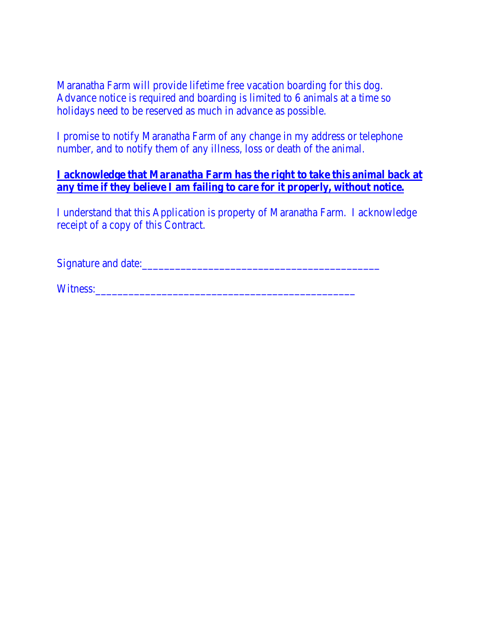Maranatha Farm will provide lifetime free vacation boarding for this dog. Advance notice is required and boarding is limited to 6 animals at a time so holidays need to be reserved as much in advance as possible.

I promise to notify Maranatha Farm of any change in my address or telephone number, and to notify them of any illness, loss or death of the animal.

#### **I acknowledge that Maranatha Farm has the right to take this animal back at any time if they believe I am failing to care for it properly, without notice.**

I understand that this Application is property of Maranatha Farm. I acknowledge receipt of a copy of this Contract.

Signature and date:

Witness: